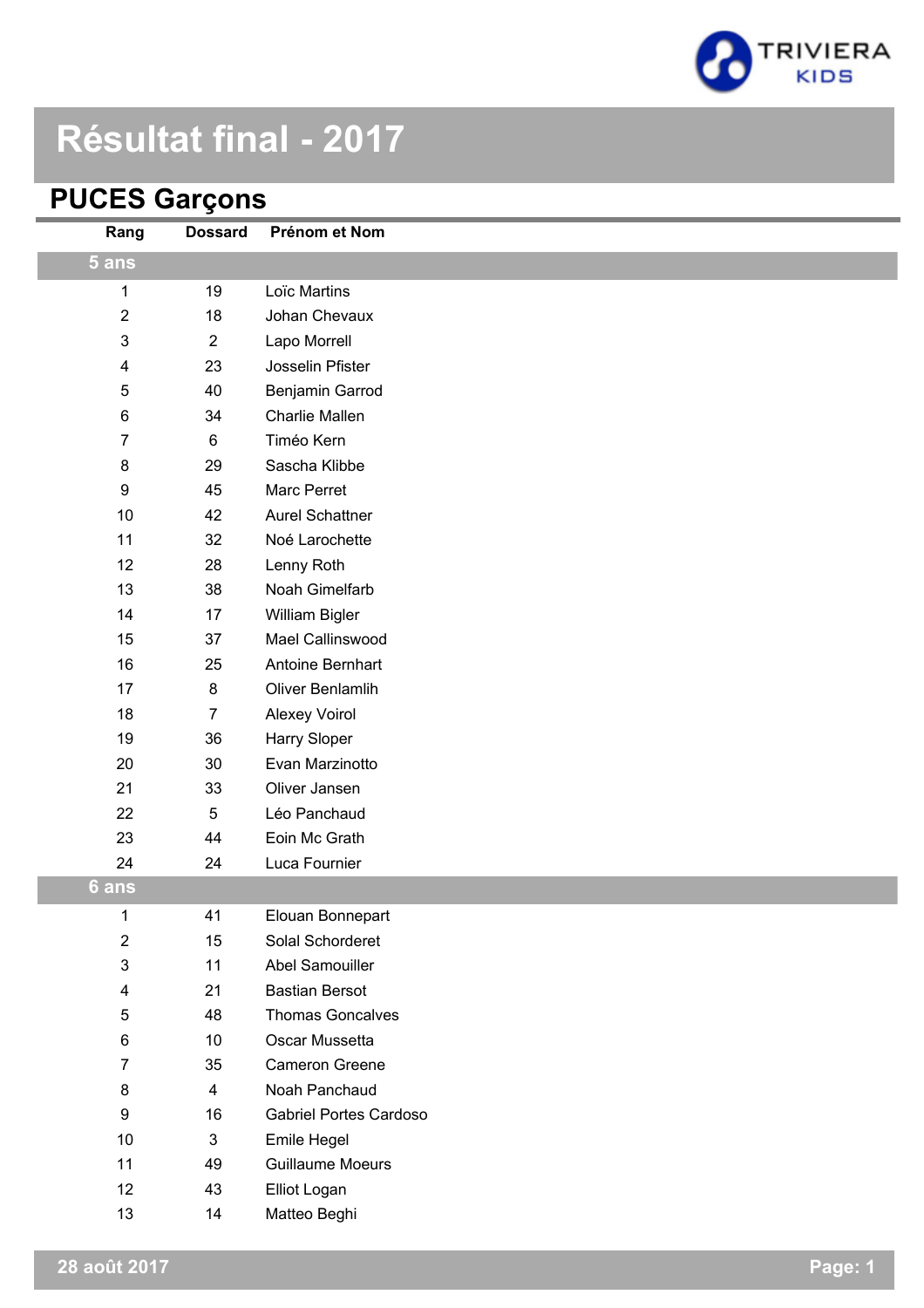

# **Résultat final - 2017**

# **PUCES Garçons**

| Rang                    | <b>Dossard</b> | Prénom et Nom                 |
|-------------------------|----------------|-------------------------------|
| 5 ans                   |                |                               |
| 1                       | 19             | Loïc Martins                  |
| $\overline{\mathbf{c}}$ | 18             | Johan Chevaux                 |
| 3                       | $\mathbf{2}$   | Lapo Morrell                  |
| 4                       | 23             | Josselin Pfister              |
| 5                       | 40             | Benjamin Garrod               |
| $\,6$                   | 34             | <b>Charlie Mallen</b>         |
| $\overline{7}$          | $\,6$          | Timéo Kern                    |
| $\bf 8$                 | 29             | Sascha Klibbe                 |
| $\boldsymbol{9}$        | 45             | Marc Perret                   |
| 10                      | 42             | <b>Aurel Schattner</b>        |
| 11                      | 32             | Noé Larochette                |
| 12                      | 28             | Lenny Roth                    |
| 13                      | 38             | Noah Gimelfarb                |
| 14                      | 17             | William Bigler                |
| 15                      | 37             | Mael Callinswood              |
| 16                      | 25             | Antoine Bernhart              |
| 17                      | 8              | Oliver Benlamlih              |
| 18                      | $\overline{7}$ | <b>Alexey Voirol</b>          |
| 19                      | 36             | Harry Sloper                  |
| 20                      | 30             | Evan Marzinotto               |
| 21                      | 33             | Oliver Jansen                 |
| 22                      | $\sqrt{5}$     | Léo Panchaud                  |
| 23                      | 44             | Eoin Mc Grath                 |
| 24                      | 24             | Luca Fournier                 |
| 6 ans                   |                |                               |
| 1                       | 41             | Elouan Bonnepart              |
| $\overline{\mathbf{c}}$ | 15             | Solal Schorderet              |
| 3                       | 11             | Abel Samouiller               |
| 4                       | 21             | <b>Bastian Bersot</b>         |
| 5                       | 48             | <b>Thomas Goncalves</b>       |
| 6                       | 10             | Oscar Mussetta                |
| 7                       | 35             | Cameron Greene                |
| 8                       | $\overline{4}$ | Noah Panchaud                 |
| 9                       | 16             | <b>Gabriel Portes Cardoso</b> |
| $10$                    | $\mathfrak{S}$ | Emile Hegel                   |
| 11                      | 49             | <b>Guillaume Moeurs</b>       |
| 12                      | 43             | Elliot Logan                  |
| 13                      | 14             | Matteo Beghi                  |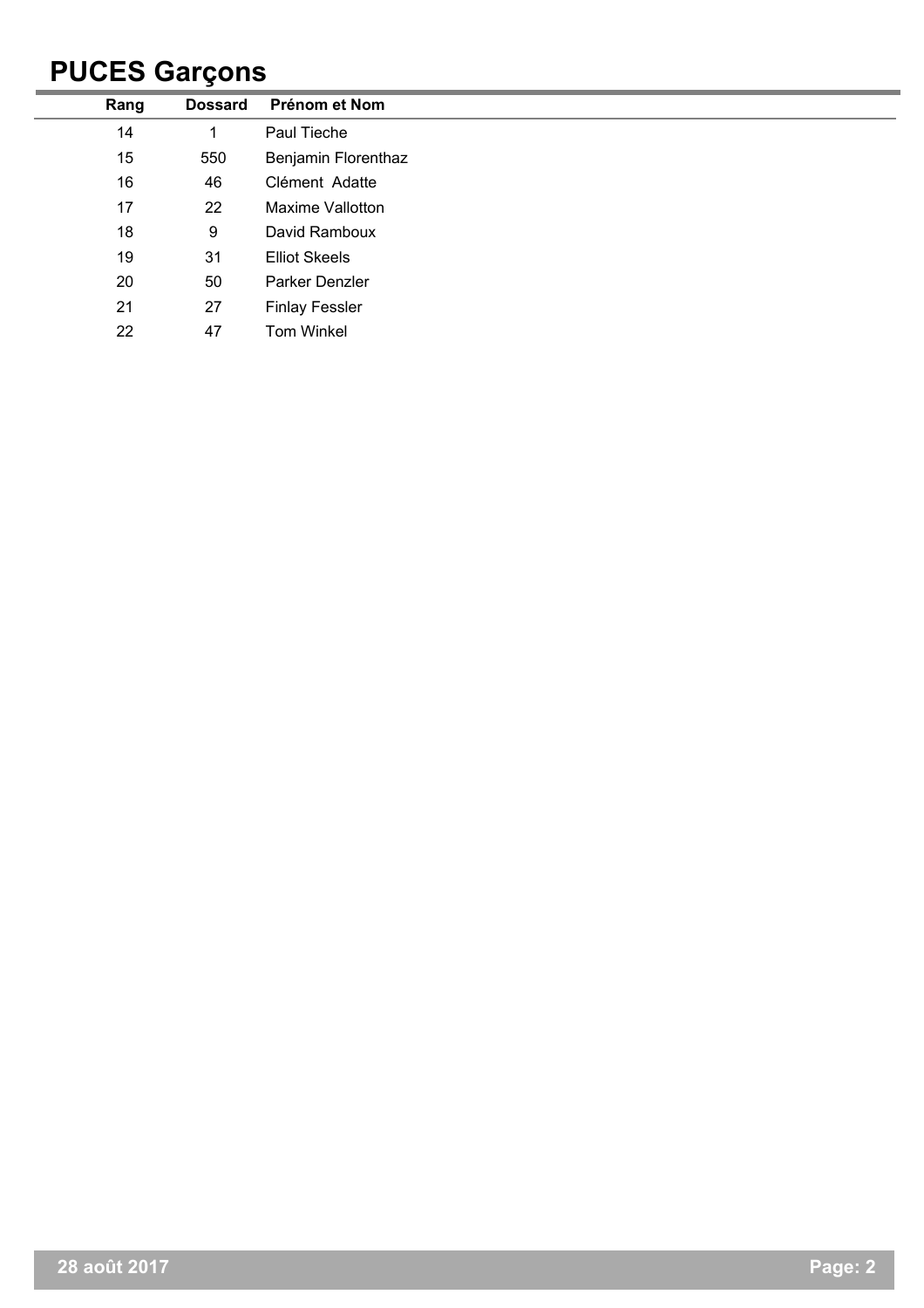## **PUCES Garçons**

| Rang | <b>Dossard</b> | Prénom et Nom         |
|------|----------------|-----------------------|
| 14   |                | Paul Tieche           |
| 15   | 550            | Benjamin Florenthaz   |
| 16   | 46             | Clément Adatte        |
| 17   | 22             | Maxime Vallotton      |
| 18   | 9              | David Ramboux         |
| 19   | 31             | <b>Elliot Skeels</b>  |
| 20   | 50             | Parker Denzler        |
| 21   | 27             | <b>Finlay Fessler</b> |
| 22   | 47             | Tom Winkel            |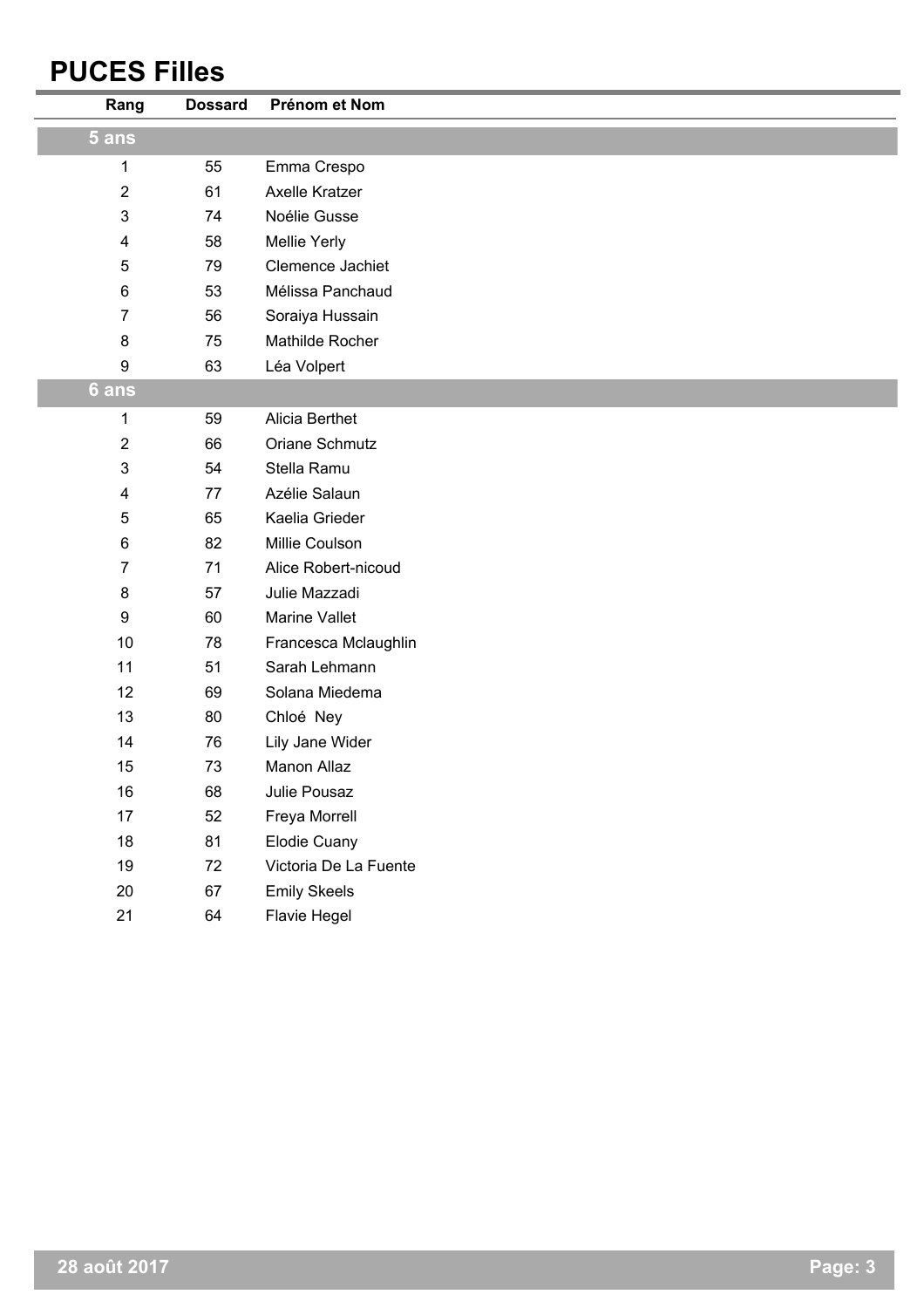## **PUCES Filles**

| Rang                    | <b>Dossard</b> | Prénom et Nom         |
|-------------------------|----------------|-----------------------|
| 5 ans                   |                |                       |
| 1                       | 55             | Emma Crespo           |
| $\overline{2}$          | 61             | Axelle Kratzer        |
| $\mathfrak{B}$          | 74             | Noélie Gusse          |
| $\overline{\mathbf{4}}$ | 58             | Mellie Yerly          |
| $\sqrt{5}$              | 79             | Clemence Jachiet      |
| $\,6$                   | 53             | Mélissa Panchaud      |
| 7                       | 56             | Soraiya Hussain       |
| $\bf 8$                 | 75             | Mathilde Rocher       |
| $\boldsymbol{9}$        | 63             | Léa Volpert           |
| 6 ans                   |                |                       |
| $\mathbf{1}$            | 59             | Alicia Berthet        |
| 2                       | 66             | Oriane Schmutz        |
| $\mathsf 3$             | 54             | Stella Ramu           |
| $\overline{\mathbf{4}}$ | 77             | Azélie Salaun         |
| $\sqrt{5}$              | 65             | Kaelia Grieder        |
| $\,6$                   | 82             | Millie Coulson        |
| $\overline{7}$          | 71             | Alice Robert-nicoud   |
| $\bf 8$                 | 57             | Julie Mazzadi         |
| 9                       | 60             | Marine Vallet         |
| 10                      | 78             | Francesca Mclaughlin  |
| 11                      | 51             | Sarah Lehmann         |
| 12                      | 69             | Solana Miedema        |
| 13                      | 80             | Chloé Ney             |
| 14                      | 76             | Lily Jane Wider       |
| 15                      | 73             | Manon Allaz           |
| 16                      | 68             | Julie Pousaz          |
| 17                      | 52             | Freya Morrell         |
| 18                      | 81             | Elodie Cuany          |
| 19                      | 72             | Victoria De La Fuente |
| 20                      | 67             | <b>Emily Skeels</b>   |
| 21                      | 64             | Flavie Hegel          |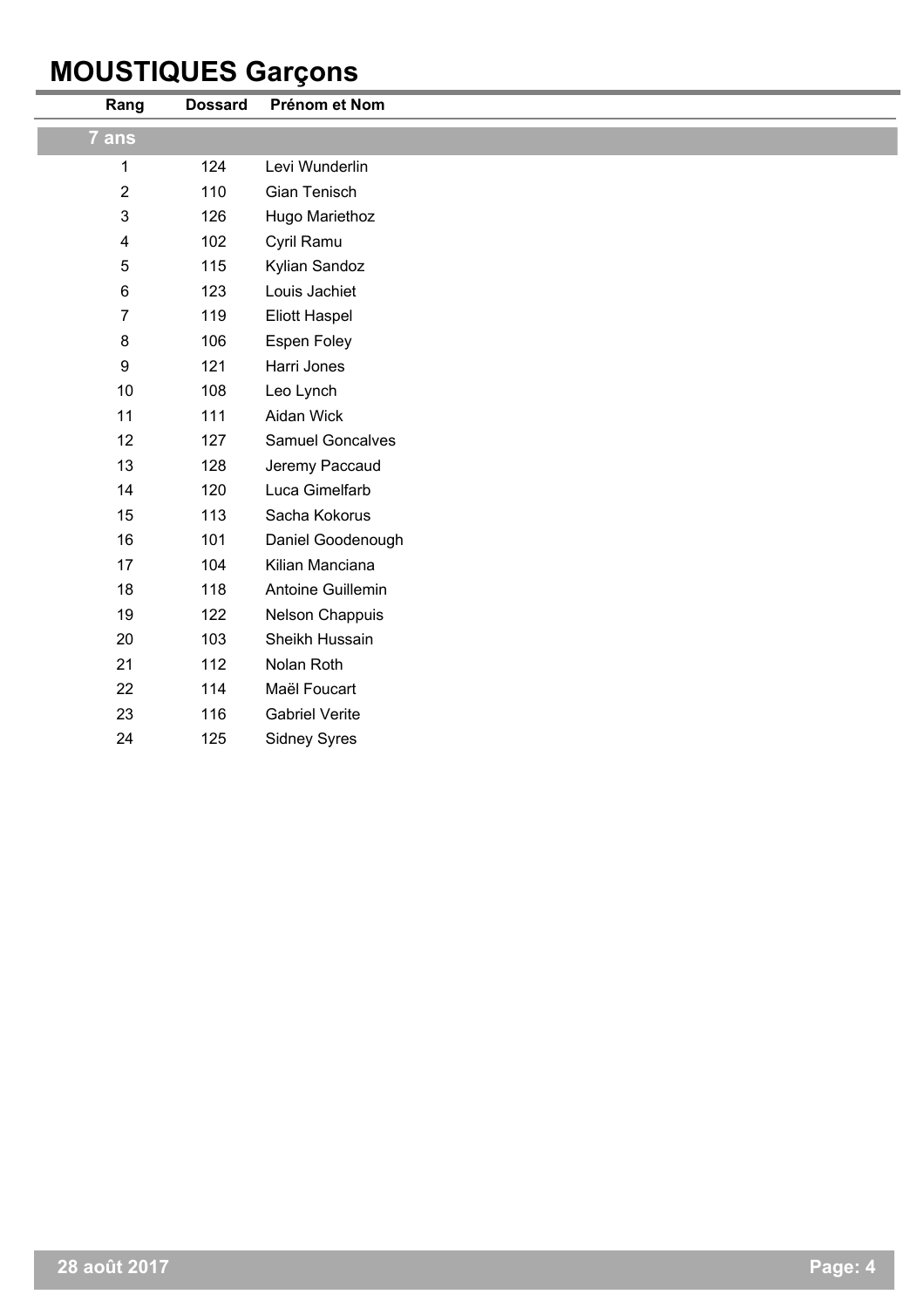### **MOUSTIQUES Garçons**

i.

| Rang                    | <b>Dossard</b> | Prénom et Nom         |
|-------------------------|----------------|-----------------------|
| 7 ans                   |                |                       |
| 1                       | 124            | Levi Wunderlin        |
| $\sqrt{2}$              | 110            | Gian Tenisch          |
| 3                       | 126            | Hugo Mariethoz        |
| $\overline{\mathbf{4}}$ | 102            | Cyril Ramu            |
| 5                       | 115            | Kylian Sandoz         |
| $\,6$                   | 123            | Louis Jachiet         |
| $\overline{7}$          | 119            | <b>Eliott Haspel</b>  |
| $\bf 8$                 | 106            | Espen Foley           |
| $\boldsymbol{9}$        | 121            | Harri Jones           |
| 10                      | 108            | Leo Lynch             |
| 11                      | 111            | Aidan Wick            |
| 12                      | 127            | Samuel Goncalves      |
| 13                      | 128            | Jeremy Paccaud        |
| 14                      | 120            | Luca Gimelfarb        |
| 15                      | 113            | Sacha Kokorus         |
| 16                      | 101            | Daniel Goodenough     |
| 17                      | 104            | Kilian Manciana       |
| 18                      | 118            | Antoine Guillemin     |
| 19                      | 122            | Nelson Chappuis       |
| 20                      | 103            | Sheikh Hussain        |
| 21                      | 112            | Nolan Roth            |
| 22                      | 114            | Maël Foucart          |
| 23                      | 116            | <b>Gabriel Verite</b> |
| 24                      | 125            | <b>Sidney Syres</b>   |
|                         |                |                       |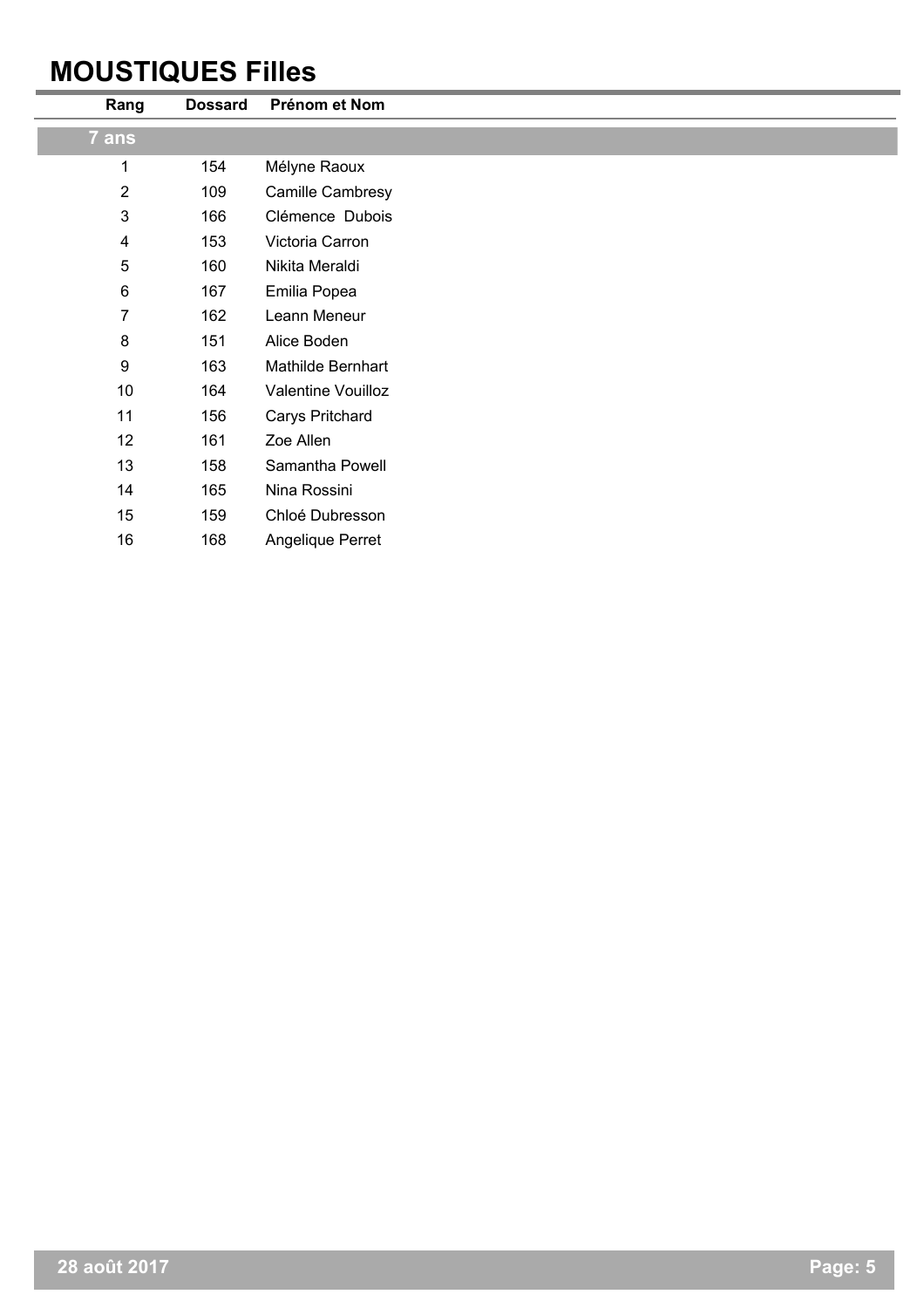## **MOUSTIQUES Filles**

L.

| Rang                    | <b>Dossard</b> | Prénom et Nom      |
|-------------------------|----------------|--------------------|
| 7 ans                   |                |                    |
| 1                       | 154            | Mélyne Raoux       |
| $\overline{2}$          | 109            | Camille Cambresy   |
| $\mathbf{3}$            | 166            | Clémence Dubois    |
| $\overline{\mathbf{4}}$ | 153            | Victoria Carron    |
| 5                       | 160            | Nikita Meraldi     |
| $\,6$                   | 167            | Emilia Popea       |
| 7                       | 162            | Leann Meneur       |
| $\bf 8$                 | 151            | Alice Boden        |
| $\boldsymbol{9}$        | 163            | Mathilde Bernhart  |
| 10                      | 164            | Valentine Vouilloz |
| 11                      | 156            | Carys Pritchard    |
| 12                      | 161            | Zoe Allen          |
| 13                      | 158            | Samantha Powell    |
| 14                      | 165            | Nina Rossini       |
| 15                      | 159            | Chloé Dubresson    |
| 16                      | 168            | Angelique Perret   |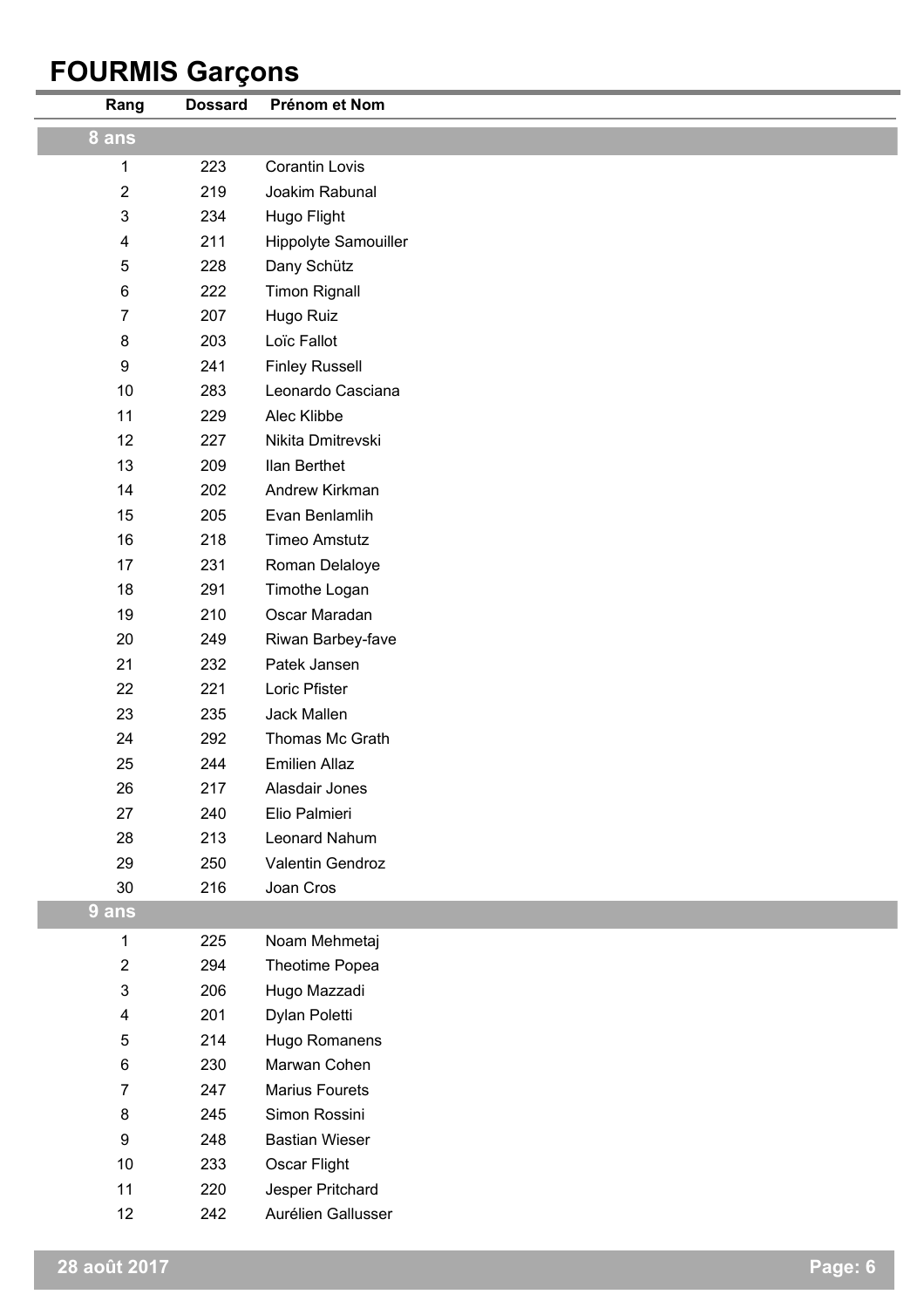# **FOURMIS Garçons**

| Rang                      | <b>Dossard</b> | Prénom et Nom         |
|---------------------------|----------------|-----------------------|
| 8 ans                     |                |                       |
| 1                         | 223            | <b>Corantin Lovis</b> |
| $\boldsymbol{2}$          | 219            | Joakim Rabunal        |
| $\ensuremath{\mathsf{3}}$ | 234            | Hugo Flight           |
| $\overline{\mathbf{4}}$   | 211            | Hippolyte Samouiller  |
| 5                         | 228            | Dany Schütz           |
| 6                         | 222            | <b>Timon Rignall</b>  |
| $\overline{7}$            | 207            | Hugo Ruiz             |
| 8                         | 203            | Loïc Fallot           |
| 9                         | 241            | <b>Finley Russell</b> |
| 10                        | 283            | Leonardo Casciana     |
| 11                        | 229            | Alec Klibbe           |
| 12                        | 227            | Nikita Dmitrevski     |
| 13                        | 209            | Ilan Berthet          |
| 14                        | 202            | Andrew Kirkman        |
| 15                        | 205            | Evan Benlamlih        |
| 16                        | 218            | <b>Timeo Amstutz</b>  |
| 17                        | 231            | Roman Delaloye        |
| 18                        | 291            | Timothe Logan         |
| 19                        | 210            | Oscar Maradan         |
| 20                        | 249            | Riwan Barbey-fave     |
| 21                        | 232            | Patek Jansen          |
| 22                        | 221            | Loric Pfister         |
| 23                        | 235            | Jack Mallen           |
| 24                        | 292            | Thomas Mc Grath       |
| 25                        | 244            | <b>Emilien Allaz</b>  |
| 26                        | 217            | Alasdair Jones        |
| 27                        | 240            | Elio Palmieri         |
| 28                        | 213            | Leonard Nahum         |
| 29                        | 250            | Valentin Gendroz      |
| 30                        | 216            | Joan Cros             |
| 9 ans                     |                |                       |
| $\mathbf{1}$              | 225            | Noam Mehmetaj         |
| $\overline{c}$            | 294            | Theotime Popea        |
| $\mathsf 3$               | 206            | Hugo Mazzadi          |
| 4                         | 201            | Dylan Poletti         |
| 5                         | 214            | Hugo Romanens         |
| 6                         | 230            | Marwan Cohen          |
| $\overline{7}$            | 247            | <b>Marius Fourets</b> |
| 8                         | 245            | Simon Rossini         |
| 9                         | 248            | <b>Bastian Wieser</b> |
| 10                        | 233            | Oscar Flight          |
| 11                        | 220            | Jesper Pritchard      |
| 12                        | 242            | Aurélien Gallusser    |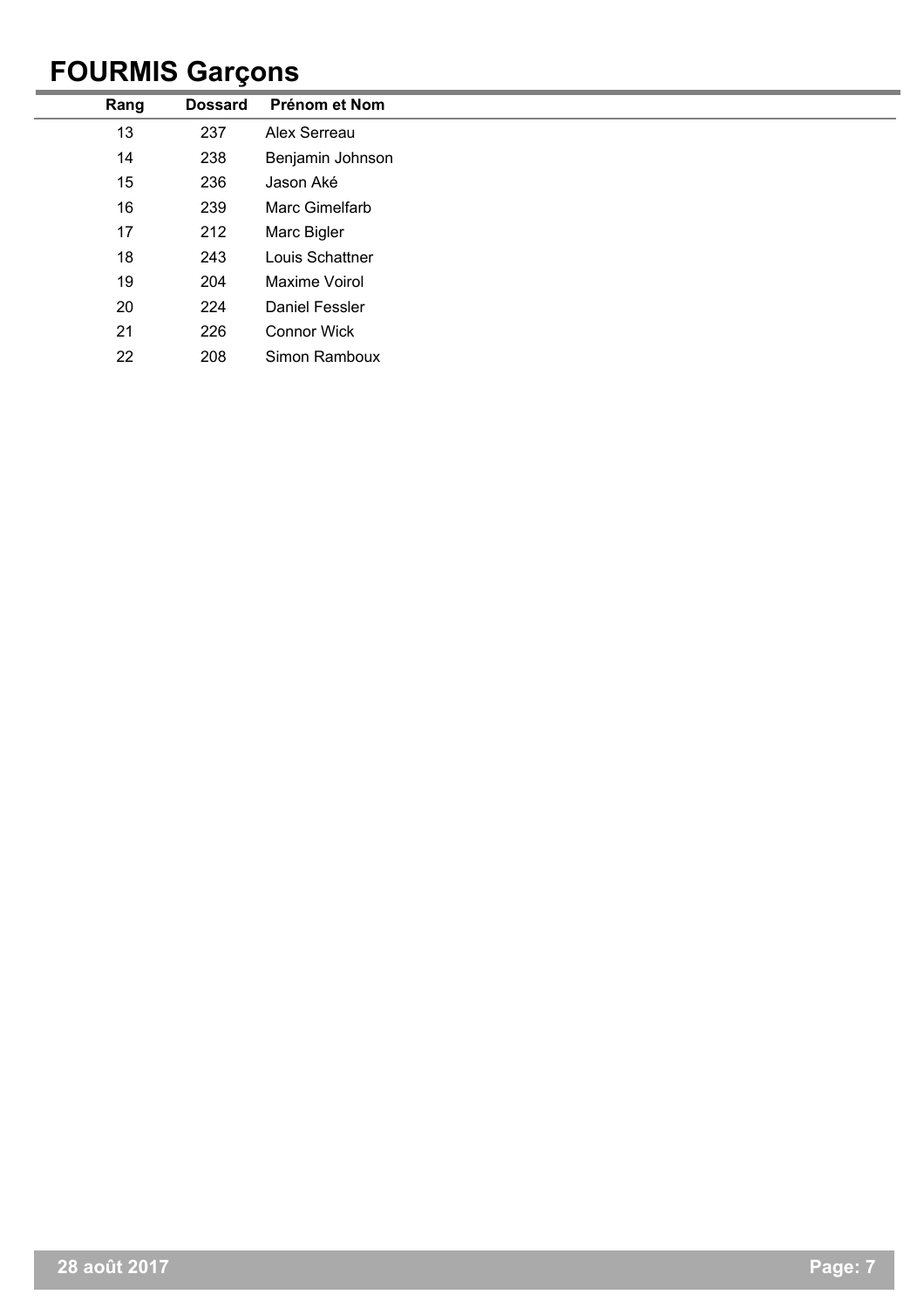## **FOURMIS Garçons**

| Rang | <b>Dossard</b> | Prénom et Nom        |
|------|----------------|----------------------|
| 13   | 237            | Alex Serreau         |
| 14   | 238            | Benjamin Johnson     |
| 15   | 236            | Jason Aké            |
| 16   | 239            | Marc Gimelfarb       |
| 17   | 212            | Marc Bigler          |
| 18   | 243            | Louis Schattner      |
| 19   | 204            | <b>Maxime Voirol</b> |
| 20   | 224            | Daniel Fessler       |
| 21   | 226            | <b>Connor Wick</b>   |
| 22   | 208            | Simon Ramboux        |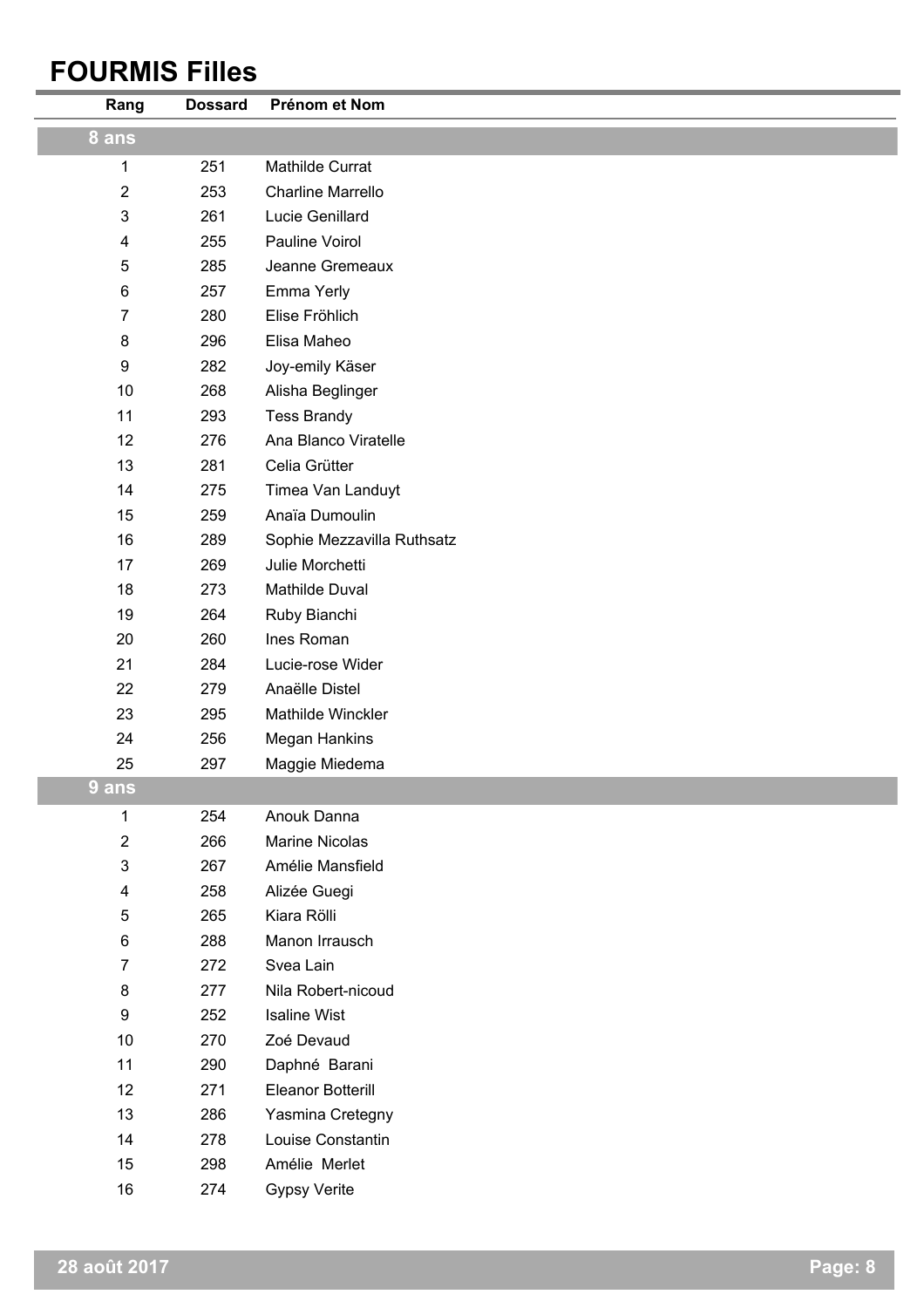## **FOURMIS Filles**

| Rang             | <b>Dossard</b> | Prénom et Nom              |
|------------------|----------------|----------------------------|
| 8 ans            |                |                            |
| 1                | 251            | Mathilde Currat            |
| $\boldsymbol{2}$ | 253            | <b>Charline Marrello</b>   |
| $\mathfrak{B}$   | 261            | Lucie Genillard            |
| 4                | 255            | Pauline Voirol             |
| 5                | 285            | Jeanne Gremeaux            |
| 6                | 257            | Emma Yerly                 |
| $\overline{7}$   | 280            | Elise Fröhlich             |
| 8                | 296            | Elisa Maheo                |
| 9                | 282            | Joy-emily Käser            |
| 10               | 268            | Alisha Beglinger           |
| 11               | 293            | <b>Tess Brandy</b>         |
| 12               | 276            | Ana Blanco Viratelle       |
| 13               | 281            | Celia Grütter              |
| 14               | 275            | Timea Van Landuyt          |
| 15               | 259            | Anaïa Dumoulin             |
| 16               | 289            | Sophie Mezzavilla Ruthsatz |
| 17               | 269            | Julie Morchetti            |
| 18               | 273            | Mathilde Duval             |
| 19               | 264            | Ruby Bianchi               |
| 20               | 260            | Ines Roman                 |
| 21               | 284            | Lucie-rose Wider           |
| 22               | 279            | Anaëlle Distel             |
| 23               | 295            | Mathilde Winckler          |
| 24               | 256            | <b>Megan Hankins</b>       |
| 25               | 297            | Maggie Miedema             |
| 9 ans            |                |                            |
| 1                | 254            | Anouk Danna                |
| $\boldsymbol{2}$ | 266            | Marine Nicolas             |
| $\mathbf{3}$     | 267            | Amélie Mansfield           |
| 4                | 258            | Alizée Guegi               |
| 5                | 265            | Kiara Rölli                |
| 6                | 288            | Manon Irrausch             |
| $\overline{7}$   | 272            | Svea Lain                  |
| 8                | 277            | Nila Robert-nicoud         |
| 9                | 252            | <b>Isaline Wist</b>        |
| 10               | 270            | Zoé Devaud                 |
| 11               | 290            | Daphné Barani              |
| 12               | 271            | Eleanor Botterill          |
| 13               | 286            | Yasmina Cretegny           |
| 14               | 278            | Louise Constantin          |
| 15               | 298            | Amélie Merlet              |
| 16               | 274            | <b>Gypsy Verite</b>        |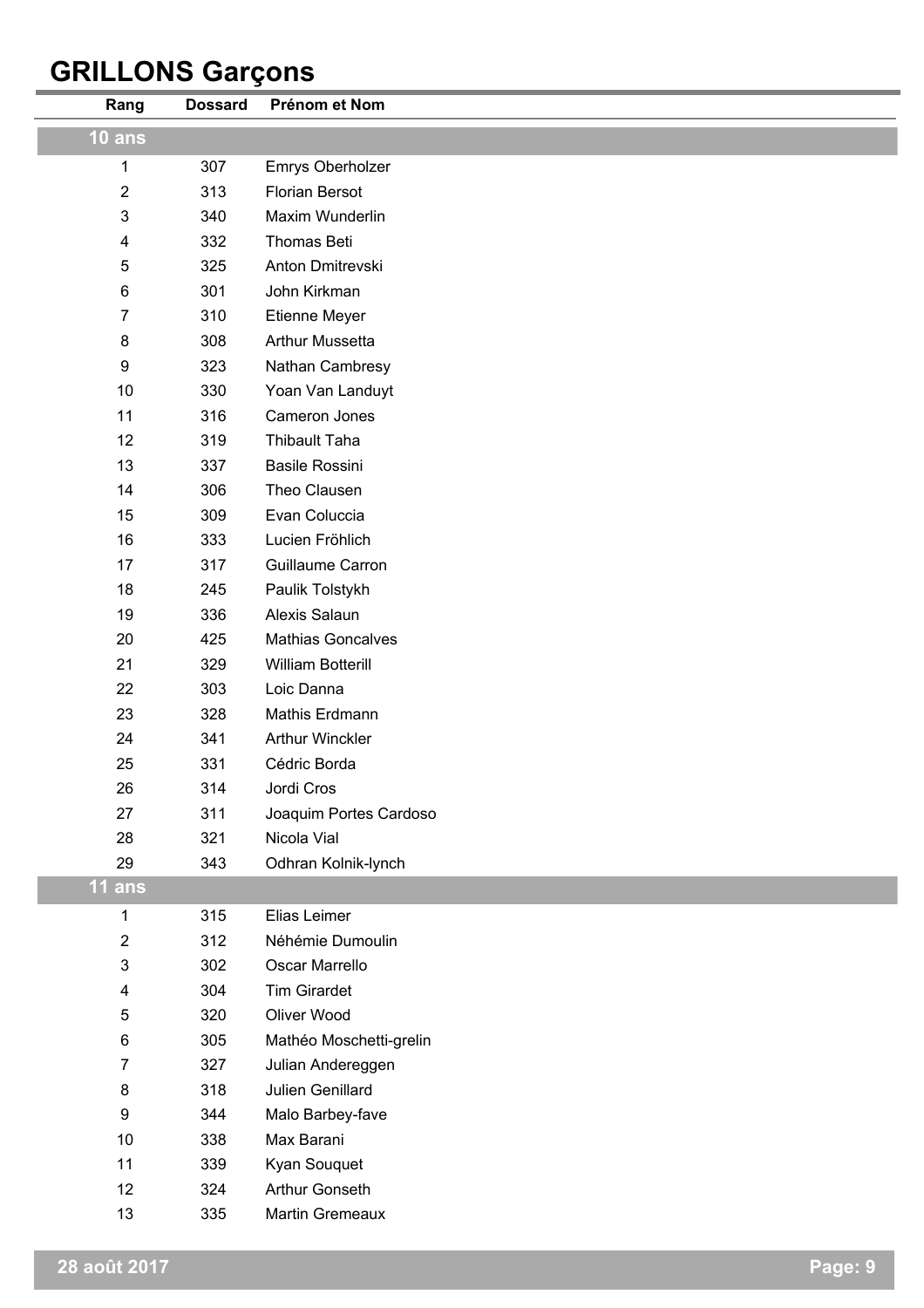# **GRILLONS Garçons**

| Rang             | <b>Dossard</b> | Prénom et Nom            |
|------------------|----------------|--------------------------|
| $10$ ans         |                |                          |
| 1                | 307            | Emrys Oberholzer         |
| $\sqrt{2}$       | 313            | <b>Florian Bersot</b>    |
| 3                | 340            | Maxim Wunderlin          |
| 4                | 332            | Thomas Beti              |
| 5                | 325            | Anton Dmitrevski         |
| 6                | 301            | John Kirkman             |
| $\overline{7}$   | 310            | Etienne Meyer            |
| $\bf 8$          | 308            | <b>Arthur Mussetta</b>   |
| $\boldsymbol{9}$ | 323            | Nathan Cambresy          |
| 10               | 330            | Yoan Van Landuyt         |
| 11               | 316            | Cameron Jones            |
| 12               | 319            | Thibault Taha            |
| 13               | 337            | <b>Basile Rossini</b>    |
| 14               | 306            | Theo Clausen             |
| 15               | 309            | Evan Coluccia            |
| 16               | 333            | Lucien Fröhlich          |
| 17               | 317            | Guillaume Carron         |
| 18               | 245            | Paulik Tolstykh          |
| 19               | 336            | Alexis Salaun            |
| 20               | 425            | <b>Mathias Goncalves</b> |
| 21               | 329            | William Botterill        |
| 22               | 303            | Loic Danna               |
| 23               | 328            | Mathis Erdmann           |
| 24               | 341            | <b>Arthur Winckler</b>   |
| 25               | 331            | Cédric Borda             |
| 26               | 314            | Jordi Cros               |
| 27               | 311            | Joaquim Portes Cardoso   |
| 28               | 321            | Nicola Vial              |
| 29               | 343            | Odhran Kolnik-lynch      |
| $11$ ans         |                |                          |
| 1                | 315            | Elias Leimer             |
| $\boldsymbol{2}$ | 312            | Néhémie Dumoulin         |
| $\mathsf 3$      | 302            | Oscar Marrello           |
| 4                | 304            | <b>Tim Girardet</b>      |
| 5                | 320            | Oliver Wood              |
| 6                | 305            | Mathéo Moschetti-grelin  |
| $\overline{7}$   | 327            | Julian Andereggen        |
| 8                | 318            | Julien Genillard         |
| $\boldsymbol{9}$ | 344            | Malo Barbey-fave         |
| 10               | 338            | Max Barani               |
| 11               | 339            | Kyan Souquet             |
| 12               | 324            | Arthur Gonseth           |
| 13               | 335            | Martin Gremeaux          |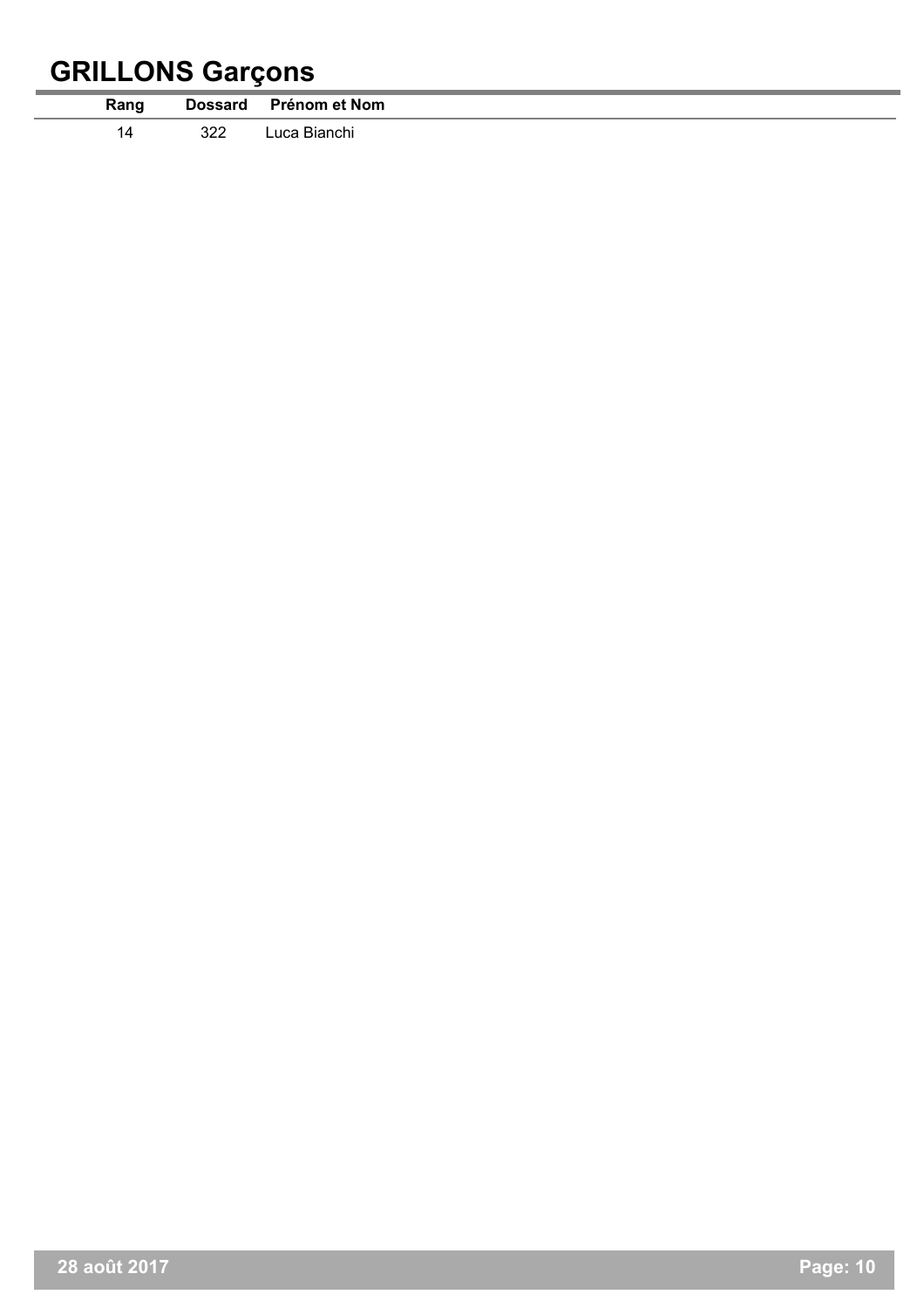# **GRILLONS Garçons**

Ē.

|      |     | ـ                     |
|------|-----|-----------------------|
| Rang |     | Dossard Prénom et Nom |
|      | 322 | Luca Bianchi          |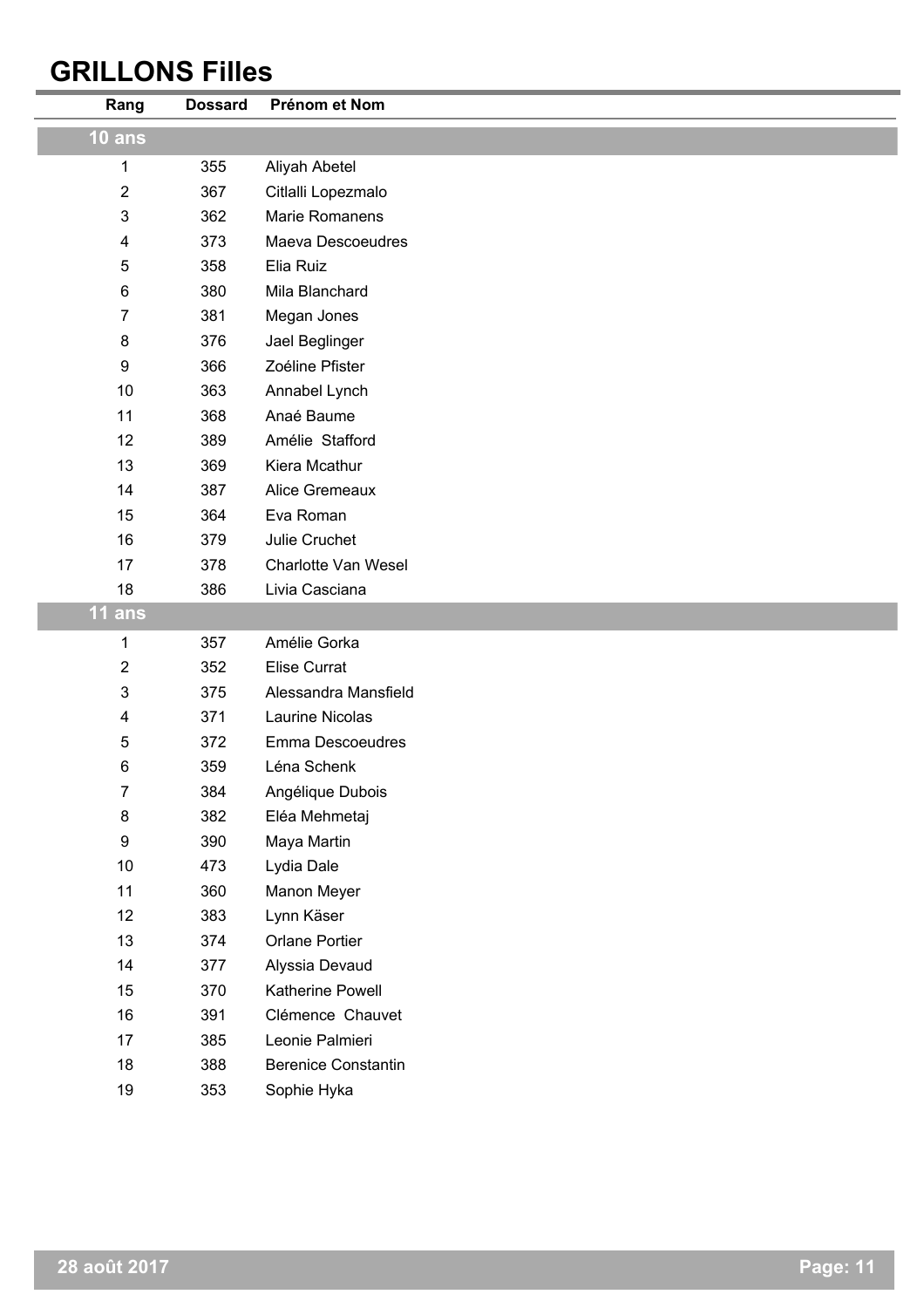## **GRILLONS Filles**

j.

| Rang             | <b>Dossard</b> | Prénom et Nom              |
|------------------|----------------|----------------------------|
| $10$ ans         |                |                            |
| 1                | 355            | Aliyah Abetel              |
| $\overline{2}$   | 367            | Citlalli Lopezmalo         |
| 3                | 362            | Marie Romanens             |
| 4                | 373            | <b>Maeva Descoeudres</b>   |
| 5                | 358            | Elia Ruiz                  |
| 6                | 380            | Mila Blanchard             |
| 7                | 381            | Megan Jones                |
| 8                | 376            | Jael Beglinger             |
| 9                | 366            | Zoéline Pfister            |
| 10               | 363            | Annabel Lynch              |
| 11               | 368            | Anaé Baume                 |
| 12               | 389            | Amélie Stafford            |
| 13               | 369            | Kiera Mcathur              |
| 14               | 387            | Alice Gremeaux             |
| 15               | 364            | Eva Roman                  |
| 16               | 379            | Julie Cruchet              |
| 17               | 378            | Charlotte Van Wesel        |
| 18               | 386            | Livia Casciana             |
| <b>11 ans</b>    |                |                            |
| 1                | 357            | Amélie Gorka               |
| $\boldsymbol{2}$ | 352            | <b>Elise Currat</b>        |
| 3                | 375            | Alessandra Mansfield       |
| 4                | 371            | Laurine Nicolas            |
| 5                | 372            | Emma Descoeudres           |
| 6                | 359            | Léna Schenk                |
| 7                | 384            | Angélique Dubois           |
| 8                | 382            | Eléa Mehmetaj              |
| 9                | 390            | Maya Martin                |
| $10$             | 473            | Lydia Dale                 |
| 11               | 360            | Manon Meyer                |
| 12               | 383            | Lynn Käser                 |
| 13               | 374            | Orlane Portier             |
| 14               | 377            | Alyssia Devaud             |
| 15               | 370            | Katherine Powell           |
| 16               | 391            | Clémence Chauvet           |
| 17               | 385            | Leonie Palmieri            |
| 18               | 388            | <b>Berenice Constantin</b> |
| 19               | 353            | Sophie Hyka                |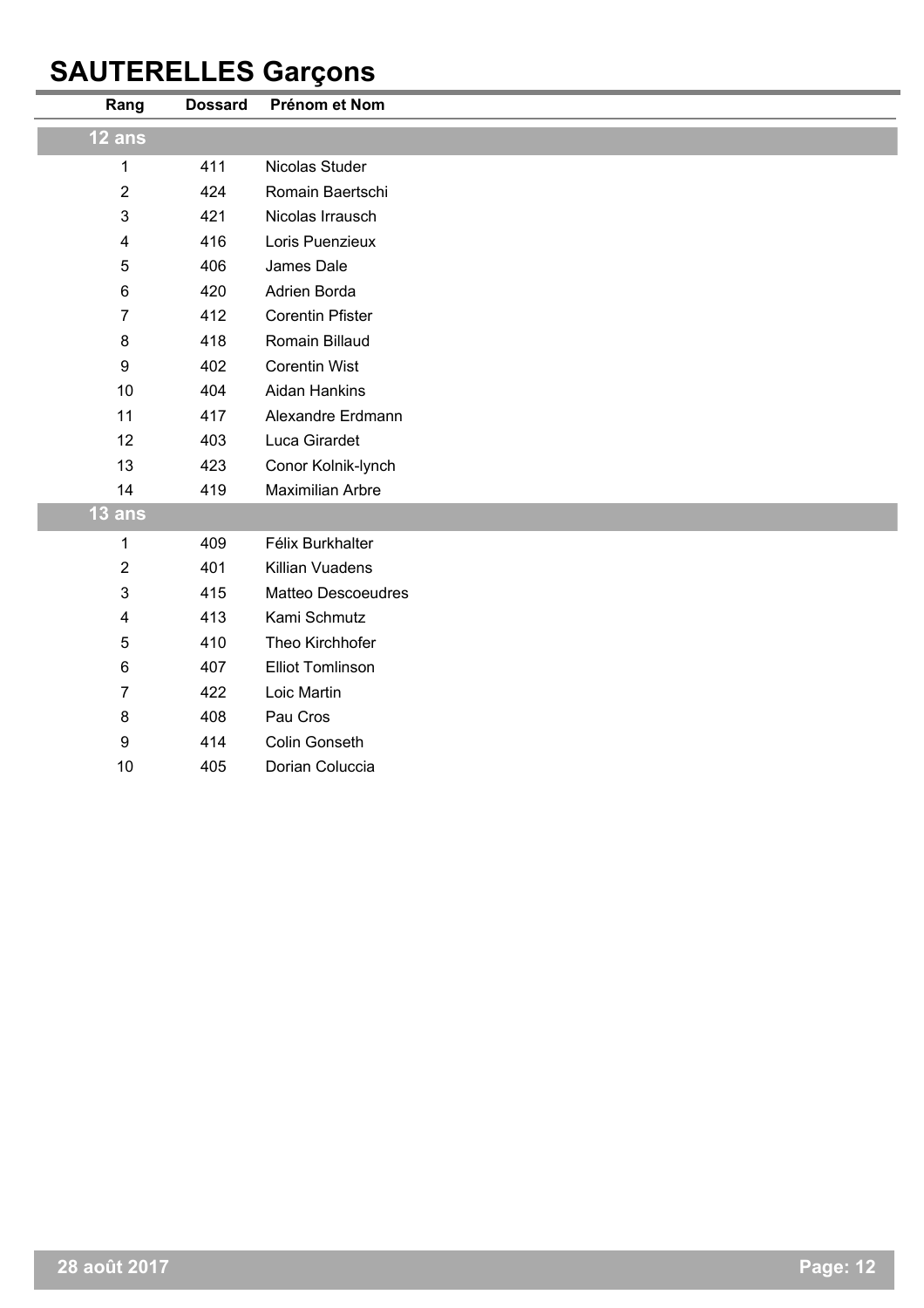## **SAUTERELLES Garçons**

| Rang                      | <b>Dossard</b> | Prénom et Nom           |
|---------------------------|----------------|-------------------------|
| $12$ ans                  |                |                         |
| 1                         | 411            | Nicolas Studer          |
| $\boldsymbol{2}$          | 424            | Romain Baertschi        |
| $\ensuremath{\mathsf{3}}$ | 421            | Nicolas Irrausch        |
| $\overline{\mathbf{4}}$   | 416            | Loris Puenzieux         |
| $\sqrt{5}$                | 406            | James Dale              |
| $\,6$                     | 420            | Adrien Borda            |
| $\overline{7}$            | 412            | <b>Corentin Pfister</b> |
| 8                         | 418            | Romain Billaud          |
| $\boldsymbol{9}$          | 402            | <b>Corentin Wist</b>    |
| 10                        | 404            | Aidan Hankins           |
| 11                        | 417            | Alexandre Erdmann       |
| 12                        | 403            | Luca Girardet           |
| 13                        | 423            | Conor Kolnik-lynch      |
| 14                        | 419            | <b>Maximilian Arbre</b> |
| 13 ans                    |                |                         |
| 1                         | 409            | Félix Burkhalter        |
| $\overline{2}$            | 401            | Killian Vuadens         |
| $\mathsf 3$               | 415            | Matteo Descoeudres      |
| $\overline{\mathbf{4}}$   | 413            | Kami Schmutz            |
| $\sqrt{5}$                | 410            | Theo Kirchhofer         |
| $\,6$                     | 407            | <b>Elliot Tomlinson</b> |
| $\overline{7}$            | 422            | Loic Martin             |
| $\bf 8$                   | 408            | Pau Cros                |
| $\boldsymbol{9}$          | 414            | Colin Gonseth           |
| 10                        | 405            | Dorian Coluccia         |